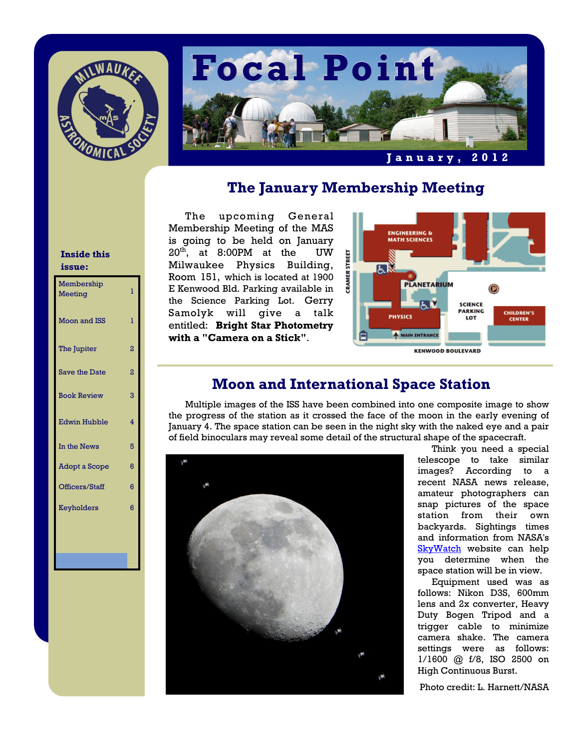



# **The January Membership Meeting**

The upcoming General Membership Meeting of the MAS is going to be held on January  $20<sup>th</sup>$ , at 8:00PM at the UW Milwaukee Physics Building, Room 151, which is located at 1900 E Kenwood Bld. Parking available in the Science Parking Lot. Gerry Samolyk will give a talk entitled: **Bright Star Photometry with a "Camera on a Stick"**.



# **Moon and International Space Station**

 Multiple images of the ISS have been combined into one composite image to show the progress of the station as it crossed the face of the moon in the early evening of January 4. The space station can be seen in the night sky with the naked eye and a pair of field binoculars may reveal some detail of the structural shape of the spacecraft.



 Think you need a special telescope to take similar images? According to a recent NASA news release, amateur photographers can snap pictures of the space station from their own backyards. Sightings times and information from NASA's [SkyWatch](http://go.usa.gov/81R) website can help you determine when the space station will be in view.

 Equipment used was as follows: Nikon D3S, 600mm lens and 2x converter, Heavy Duty Bogen Tripod and a trigger cable to minimize camera shake. The camera settings were as follows: 1/1600 @ f/8, ISO 2500 on High Continuous Burst.

Photo credit: L. Harnett/NASA

#### **Inside this issue:**

| Membership<br>Meeting | ı              |
|-----------------------|----------------|
| <b>Moon and ISS</b>   | 1              |
| The Jupiter           | $\overline{2}$ |
| <b>Save the Date</b>  | $\overline{2}$ |
| <b>Book Review</b>    | 3              |
| <b>Edwin Hubble</b>   | 4              |
| In the News           | 5              |
| Adopt a Scope         | 6              |
| Officers/Staff        | 6              |
| Keyholders            | 6              |
|                       |                |
|                       |                |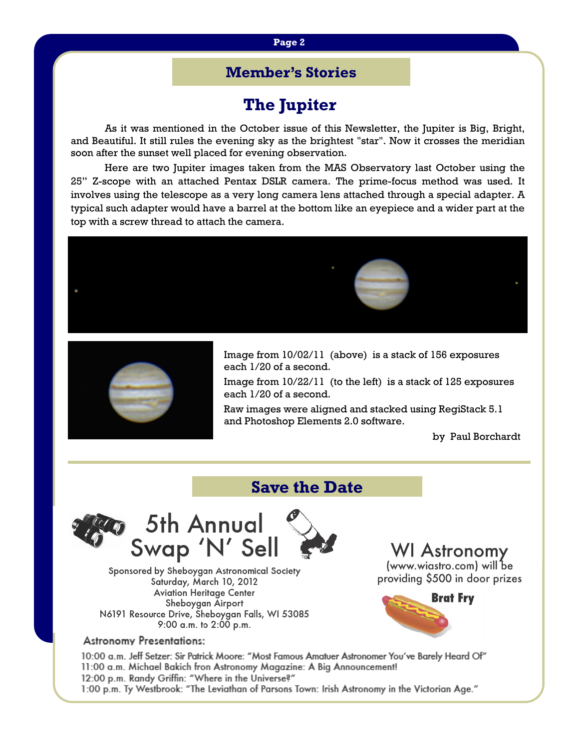#### **Page 2**

## **Member's Stories**

# **The Jupiter**

As it was mentioned in the October issue of this Newsletter, the Jupiter is Big, Bright, and Beautiful. It still rules the evening sky as the brightest "star". Now it crosses the meridian soon after the sunset well placed for evening observation.

 Here are two Jupiter images taken from the MAS Observatory last October using the 25" Z-scope with an attached Pentax DSLR camera. The prime-focus method was used. It involves using the telescope as a very long camera lens attached through a special adapter. A typical such adapter would have a barrel at the bottom like an eyepiece and a wider part at the top with a screw thread to attach the camera.





Image from 10/02/11 (above) is a stack of 156 exposures each 1/20 of a second.

Image from 10/22/11 (to the left) is a stack of 125 exposures each 1/20 of a second.

Raw images were aligned and stacked using RegiStack 5.1 and Photoshop Elements 2.0 software.

by Paul Borchardt

# **Save the Date**



Sponsored by Sheboygan Astronomical Society Saturday, March 10, 2012 **Aviation Heritage Center** Sheboygan Airport N6191 Resource Drive, Sheboygan Falls, WI 53085 9:00 a.m. to 2:00 p.m.

### **WI Astronomy** (www.wiastro.com) will be providing \$500 in door prizes



#### **Astronomy Presentations:**

"10:00 a.m. Jeff Setzer: Sir Patrick Moore: "Most Famous Amatuer Astronomer You've Barely Heard Of 11:00 a.m. Michael Bakich fron Astronomy Magazine: A Big Announcement! 12:00 p.m. Randy Griffin: "Where in the Universe?" 1:00 p.m. Ty Westbrook: "The Leviathan of Parsons Town: Irish Astronomy in the Victorian Age."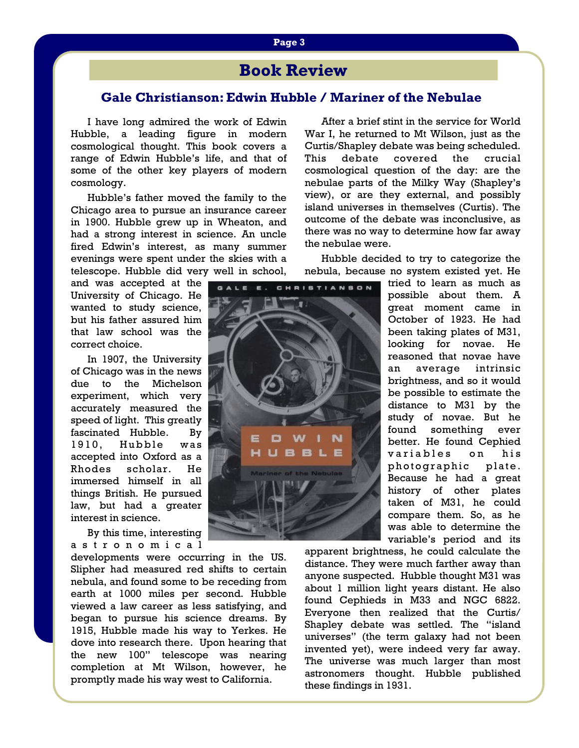# **Page 3**

# **Book Review**

#### **Gale Christianson: Edwin Hubble / Mariner of the Nebulae**

 I have long admired the work of Edwin Hubble, a leading figure in modern cosmological thought. This book covers a range of Edwin Hubble's life, and that of some of the other key players of modern cosmology.

 Hubble's father moved the family to the Chicago area to pursue an insurance career in 1900. Hubble grew up in Wheaton, and had a strong interest in science. An uncle fired Edwin's interest, as many summer evenings were spent under the skies with a telescope. Hubble did very well in school,

and was accepted at the University of Chicago. He wanted to study science, but his father assured him that law school was the correct choice.

 In 1907, the University of Chicago was in the news due to the Michelson experiment, which very accurately measured the speed of light. This greatly fascinated Hubble. By 1910, Hubble was accepted into Oxford as a Rhodes scholar. He immersed himself in all things British. He pursued law, but had a greater interest in science.

 By this time, interesting a s t r o n o m i c a l

developments were occurring in the US. Slipher had measured red shifts to certain nebula, and found some to be receding from earth at 1000 miles per second. Hubble viewed a law career as less satisfying, and began to pursue his science dreams. By 1915, Hubble made his way to Yerkes. He dove into research there. Upon hearing that the new 100" telescope was nearing completion at Mt Wilson, however, he promptly made his way west to California.

 After a brief stint in the service for World War I, he returned to Mt Wilson, just as the Curtis/Shapley debate was being scheduled. This debate covered the crucial cosmological question of the day: are the nebulae parts of the Milky Way (Shapley's view), or are they external, and possibly island universes in themselves (Curtis). The outcome of the debate was inconclusive, as there was no way to determine how far away the nebulae were.

 Hubble decided to try to categorize the nebula, because no system existed yet. He



tried to learn as much as possible about them. A great moment came in October of 1923. He had been taking plates of M31, looking for novae. He reasoned that novae have an average intrinsic brightness, and so it would be possible to estimate the distance to M31 by the study of novae. But he found something ever better. He found Cephied variables on his photographic plate. Because he had a great history of other plates taken of M31, he could compare them. So, as he was able to determine the variable's period and its

apparent brightness, he could calculate the distance. They were much farther away than anyone suspected. Hubble thought M31 was about 1 million light years distant. He also found Cephieds in M33 and NGC 6822. Everyone then realized that the Curtis/ Shapley debate was settled. The "island universes" (the term galaxy had not been invented yet), were indeed very far away. The universe was much larger than most astronomers thought. Hubble published these findings in 1931.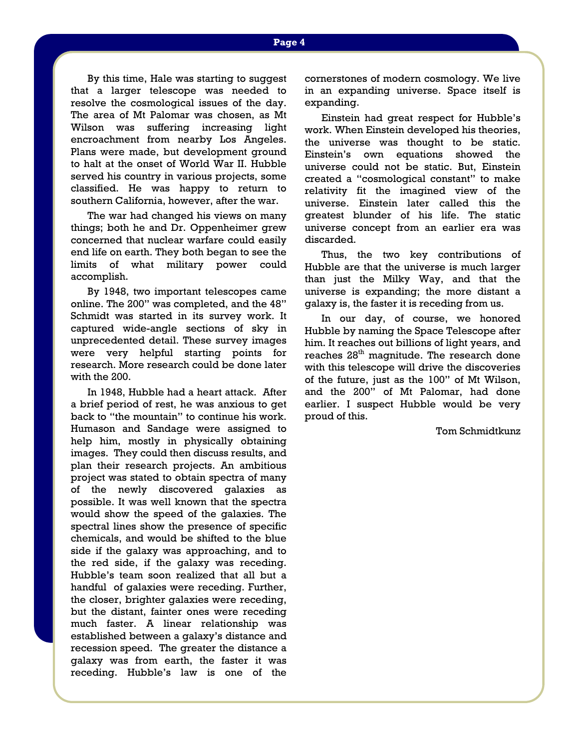By this time, Hale was starting to suggest that a larger telescope was needed to resolve the cosmological issues of the day. The area of Mt Palomar was chosen, as Mt Wilson was suffering increasing light encroachment from nearby Los Angeles. Plans were made, but development ground to halt at the onset of World War II. Hubble served his country in various projects, some classified. He was happy to return to southern California, however, after the war.

 The war had changed his views on many things; both he and Dr. Oppenheimer grew concerned that nuclear warfare could easily end life on earth. They both began to see the limits of what military power could accomplish.

 By 1948, two important telescopes came online. The 200" was completed, and the 48" Schmidt was started in its survey work. It captured wide-angle sections of sky in unprecedented detail. These survey images were very helpful starting points for research. More research could be done later with the 200.

 In 1948, Hubble had a heart attack. After a brief period of rest, he was anxious to get back to "the mountain" to continue his work. Humason and Sandage were assigned to help him, mostly in physically obtaining images. They could then discuss results, and plan their research projects. An ambitious project was stated to obtain spectra of many of the newly discovered galaxies as possible. It was well known that the spectra would show the speed of the galaxies. The spectral lines show the presence of specific chemicals, and would be shifted to the blue side if the galaxy was approaching, and to the red side, if the galaxy was receding. Hubble's team soon realized that all but a handful of galaxies were receding. Further, the closer, brighter galaxies were receding, but the distant, fainter ones were receding much faster. A linear relationship was established between a galaxy's distance and recession speed. The greater the distance a galaxy was from earth, the faster it was receding. Hubble's law is one of the

cornerstones of modern cosmology. We live in an expanding universe. Space itself is expanding.

 Einstein had great respect for Hubble's work. When Einstein developed his theories, the universe was thought to be static. Einstein's own equations showed the universe could not be static. But, Einstein created a "cosmological constant" to make relativity fit the imagined view of the universe. Einstein later called this the greatest blunder of his life. The static universe concept from an earlier era was discarded.

 Thus, the two key contributions of Hubble are that the universe is much larger than just the Milky Way, and that the universe is expanding; the more distant a galaxy is, the faster it is receding from us.

 In our day, of course, we honored Hubble by naming the Space Telescope after him. It reaches out billions of light years, and reaches 28<sup>th</sup> magnitude. The research done with this telescope will drive the discoveries of the future, just as the 100" of Mt Wilson, and the 200" of Mt Palomar, had done earlier. I suspect Hubble would be very proud of this.

Tom Schmidtkunz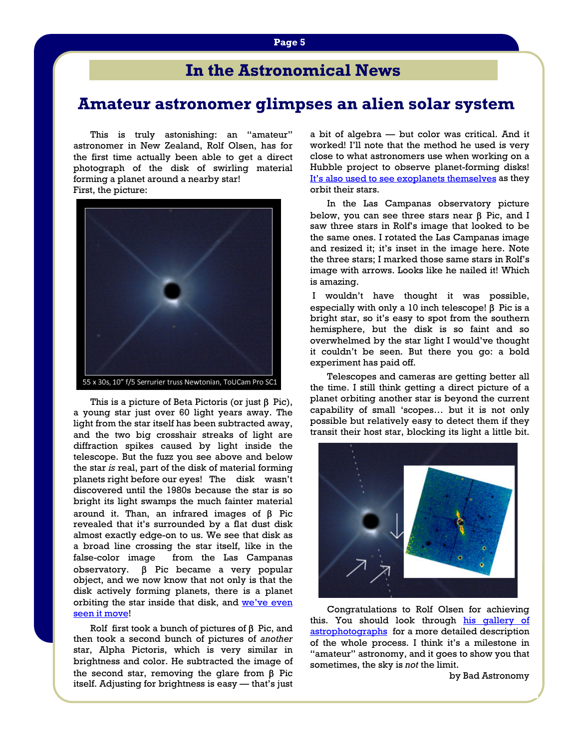# **In the Astronomical News**

# **Amateur astronomer glimpses an alien solar system**

This is truly astonishing: an "amateur" astronomer in New Zealand, Rolf Olsen, has for the first time actually been able to get a direct photograph of the disk of swirling material forming a planet around a nearby star! First, the picture:



This is a picture of Beta Pictoris (or just  $β$  Pic), a young star just over 60 light years away. The light from the star itself has been subtracted away, and the two big crosshair streaks of light are diffraction spikes caused by light inside the telescope. But the fuzz you see above and below the star *is* real, part of the disk of material forming planets right before our eyes! The disk wasn't discovered until the 1980s because the star is so bright its light swamps the much fainter material around it. Than, an infrared images of β Pic revealed that it's surrounded by a flat dust disk almost exactly edge-on to us. We see that disk as a broad line crossing the star itself, like in the false-color image from the Las Campanas observatory. β Pic became a very popular object, and we now know that not only is that the disk actively forming planets, there is a planet orbiting the star inside that disk, and we've even [seen it move](http://blogs.discovermagazine.com/badastronomy/2011/03/03/more-images-of-exoplanet-show-it-orbiting-its-star/)!

Rolf first took a bunch of pictures of  $\beta$  Pic, and then took a second bunch of pictures of *another* star, Alpha Pictoris, which is very similar in brightness and color. He subtracted the image of the second star, removing the glare from β Pic itself. Adjusting for brightness is easy — that's just

a bit of algebra — but color was critical. And it worked! I'll note that the method he used is very close to what astronomers use when working on a Hubble project to observe planet-forming disks! [It's also used to see exoplanets themselves](http://blogs.discovermagazine.com/badastronomy/2011/10/06/exoplanets-seen-by-hubble-in-1998-finally-revealed/) as they orbit their stars.

 In the Las Campanas observatory picture below, you can see three stars near β Pic, and I saw three stars in Rolf's image that looked to be the same ones. I rotated the Las Campanas image and resized it; it's inset in the image here. Note the three stars; I marked those same stars in Rolf's image with arrows. Looks like he nailed it! Which is amazing.

 I wouldn't have thought it was possible, especially with only a 10 inch telescope!  $\beta$  Pic is a bright star, so it's easy to spot from the southern hemisphere, but the disk is so faint and so overwhelmed by the star light I would've thought it couldn't be seen. But there you go: a bold experiment has paid off.

 Telescopes and cameras are getting better all the time. I still think getting a direct picture of a planet orbiting another star is beyond the current capability of small 'scopes… but it is not only possible but relatively easy to detect them if they transit their host star, blocking its light a little bit.



 Congratulations to Rolf Olsen for achieving this. You should look through his gallery of [astrophotographs](http://www.pbase.com/rolfolsen/astro_photography) for a more detailed description of the whole process. I think it's a milestone in "amateur" astronomy, and it goes to show you that sometimes, the sky is *not* the limit.

by Bad Astronomy